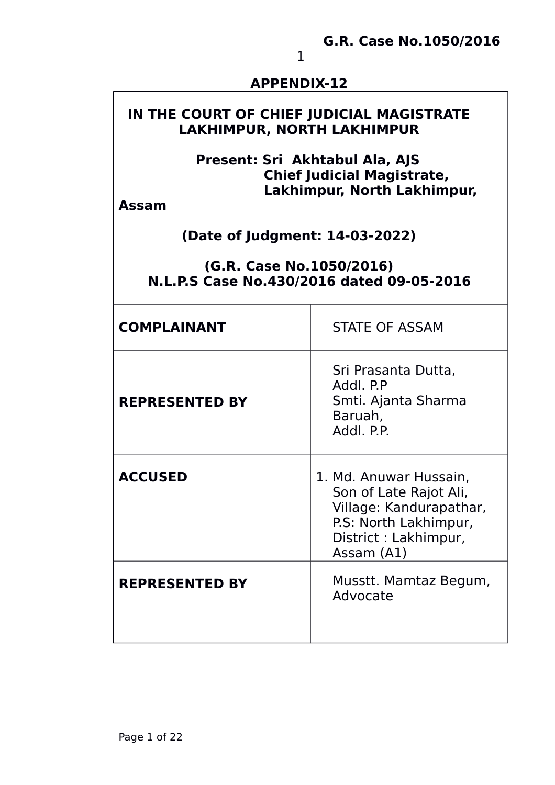#### **APPENDIX-12**

# **IN THE COURT OF CHIEF JUDICIAL MAGISTRATE LAKHIMPUR, NORTH LAKHIMPUR**

### **Present: Sri Akhtabul Ala, AJS Chief Judicial Magistrate, Lakhimpur, North Lakhimpur,**

**Assam**

### **(Date of Judgment: 14-03-2022)**

#### **(G.R. Case No.1050/2016) N.L.P.S Case No.430/2016 dated 09-05-2016**

| <b>COMPLAINANT</b>    | <b>STATE OF ASSAM</b>                                                                                                                       |
|-----------------------|---------------------------------------------------------------------------------------------------------------------------------------------|
| <b>REPRESENTED BY</b> | Sri Prasanta Dutta,<br>Addl. P.P<br>Smti. Ajanta Sharma<br>Baruah,<br>Addl. P.P.                                                            |
| <b>ACCUSED</b>        | 1. Md. Anuwar Hussain,<br>Son of Late Rajot Ali,<br>Village: Kandurapathar,<br>P.S: North Lakhimpur,<br>District : Lakhimpur,<br>Assam (A1) |
| <b>REPRESENTED BY</b> | Musstt. Mamtaz Begum,<br>Advocate                                                                                                           |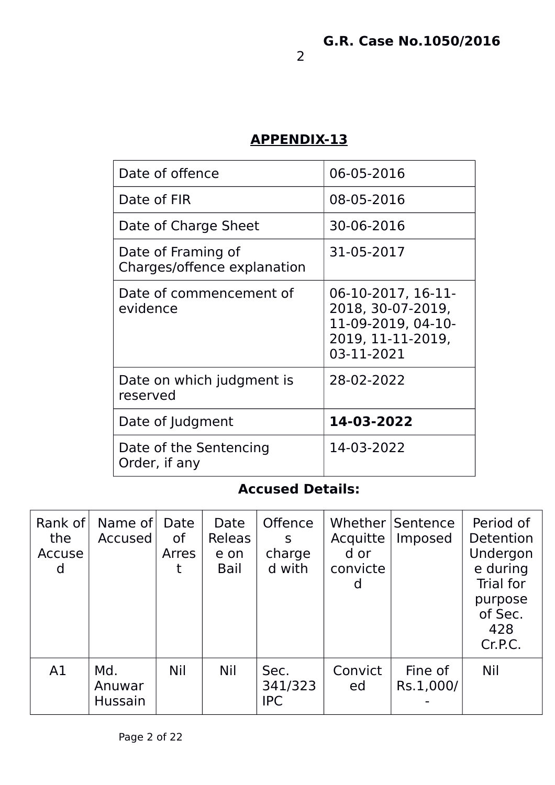# **APPENDIX-13**

| Date of offence                                   | 06-05-2016                                                                                       |
|---------------------------------------------------|--------------------------------------------------------------------------------------------------|
| Date of FIR                                       | 08-05-2016                                                                                       |
| Date of Charge Sheet                              | 30-06-2016                                                                                       |
| Date of Framing of<br>Charges/offence explanation | 31-05-2017                                                                                       |
| Date of commencement of<br>evidence               | 06-10-2017, 16-11-<br>2018, 30-07-2019,<br>11-09-2019, 04-10-<br>2019, 11-11-2019,<br>03-11-2021 |
| Date on which judgment is<br>reserved             | 28-02-2022                                                                                       |
| Date of Judgment                                  | 14-03-2022                                                                                       |
| Date of the Sentencing<br>Order, if any           | 14-03-2022                                                                                       |

# **Accused Details:**

| Rank of<br>the<br>Accuse<br>d | Name of<br>Accused              | Date<br>0f<br>Arres | Date<br>Releas<br>e on<br>Bail | <b>Offence</b><br>S<br>charge<br>d with | Acquitte<br>d or<br>convicte<br>d | Whether Sentence<br>Imposed | Period of<br>Detention<br>Undergon<br>e during<br>Trial for<br>purpose<br>of Sec.<br>428<br>Cr.P.C. |
|-------------------------------|---------------------------------|---------------------|--------------------------------|-----------------------------------------|-----------------------------------|-----------------------------|-----------------------------------------------------------------------------------------------------|
| A1                            | Md.<br>Anuwar<br><b>Hussain</b> | <b>Nil</b>          | <b>Nil</b>                     | Sec.<br>341/323<br><b>IPC</b>           | Convict<br>ed                     | Fine of<br>Rs.1,000/        | <b>Nil</b>                                                                                          |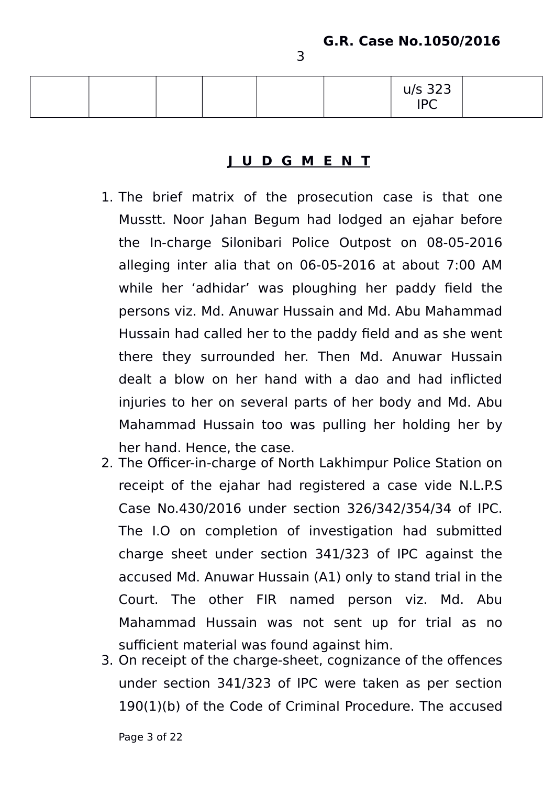|  |  |  | u/s 323<br>IPC |  |
|--|--|--|----------------|--|
|  |  |  |                |  |

### **J U D G M E N T**

- 1. The brief matrix of the prosecution case is that one Musstt. Noor Jahan Begum had lodged an ejahar before the In-charge Silonibari Police Outpost on 08-05-2016 alleging inter alia that on 06-05-2016 at about 7:00 AM while her 'adhidar' was ploughing her paddy field the persons viz. Md. Anuwar Hussain and Md. Abu Mahammad Hussain had called her to the paddy field and as she went there they surrounded her. Then Md. Anuwar Hussain dealt a blow on her hand with a dao and had inflicted injuries to her on several parts of her body and Md. Abu Mahammad Hussain too was pulling her holding her by her hand. Hence, the case.
- 2. The Officer-in-charge of North Lakhimpur Police Station on receipt of the ejahar had registered a case vide N.L.P.S Case No.430/2016 under section 326/342/354/34 of IPC. The I.O on completion of investigation had submitted charge sheet under section 341/323 of IPC against the accused Md. Anuwar Hussain (A1) only to stand trial in the Court. The other FIR named person viz. Md. Abu Mahammad Hussain was not sent up for trial as no sufficient material was found against him.
- 3. On receipt of the charge-sheet, cognizance of the offences under section 341/323 of IPC were taken as per section 190(1)(b) of the Code of Criminal Procedure. The accused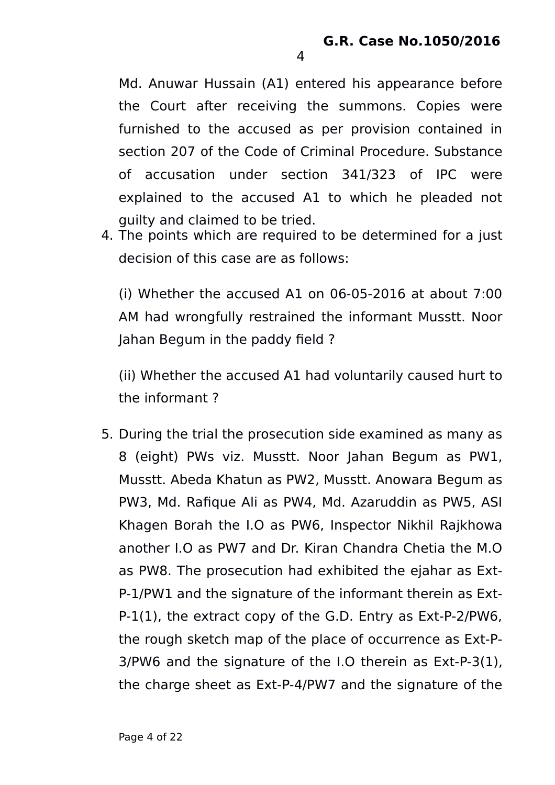Md. Anuwar Hussain (A1) entered his appearance before the Court after receiving the summons. Copies were furnished to the accused as per provision contained in section 207 of the Code of Criminal Procedure. Substance of accusation under section 341/323 of IPC were explained to the accused A1 to which he pleaded not guilty and claimed to be tried.

4. The points which are required to be determined for a just decision of this case are as follows:

(i) Whether the accused A1 on 06-05-2016 at about 7:00 AM had wrongfully restrained the informant Musstt. Noor Jahan Begum in the paddy field ?

(ii) Whether the accused A1 had voluntarily caused hurt to the informant ?

5. During the trial the prosecution side examined as many as 8 (eight) PWs viz. Musstt. Noor Jahan Begum as PW1, Musstt. Abeda Khatun as PW2, Musstt. Anowara Begum as PW3, Md. Rafique Ali as PW4, Md. Azaruddin as PW5, ASI Khagen Borah the I.O as PW6, Inspector Nikhil Rajkhowa another I.O as PW7 and Dr. Kiran Chandra Chetia the M.O as PW8. The prosecution had exhibited the ejahar as Ext-P-1/PW1 and the signature of the informant therein as Ext-P-1(1), the extract copy of the G.D. Entry as Ext-P-2/PW6, the rough sketch map of the place of occurrence as Ext-P-3/PW6 and the signature of the I.O therein as Ext-P-3(1), the charge sheet as Ext-P-4/PW7 and the signature of the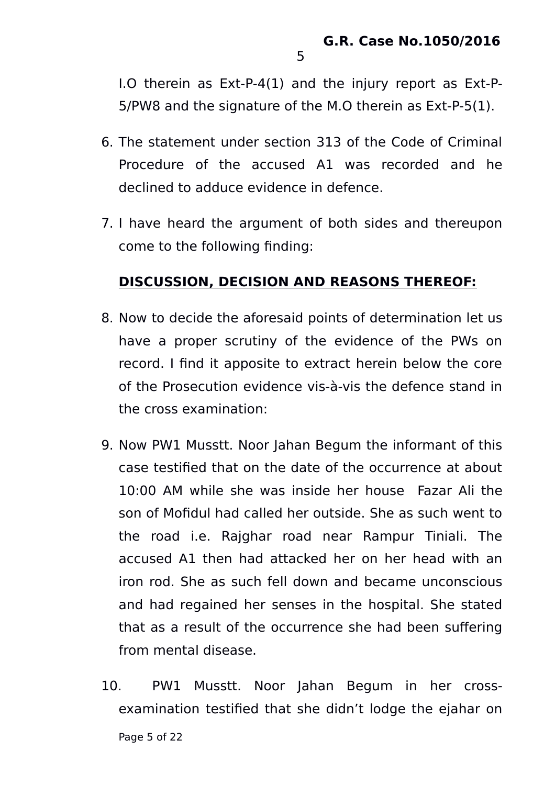I.O therein as Ext-P-4(1) and the injury report as Ext-P-5/PW8 and the signature of the M.O therein as Ext-P-5(1).

- 6. The statement under section 313 of the Code of Criminal Procedure of the accused A1 was recorded and he declined to adduce evidence in defence.
- 7. I have heard the argument of both sides and thereupon come to the following finding:

### **DISCUSSION, DECISION AND REASONS THEREOF:**

- 8. Now to decide the aforesaid points of determination let us have a proper scrutiny of the evidence of the PWs on record. I find it apposite to extract herein below the core of the Prosecution evidence vis-à-vis the defence stand in the cross examination:
- 9. Now PW1 Musstt. Noor Jahan Begum the informant of this case testified that on the date of the occurrence at about 10:00 AM while she was inside her house Fazar Ali the son of Mofidul had called her outside. She as such went to the road i.e. Rajghar road near Rampur Tiniali. The accused A1 then had attacked her on her head with an iron rod. She as such fell down and became unconscious and had regained her senses in the hospital. She stated that as a result of the occurrence she had been suffering from mental disease.
- 10. PW1 Musstt. Noor Jahan Begum in her crossexamination testified that she didn't lodge the ejahar on Page 5 of 22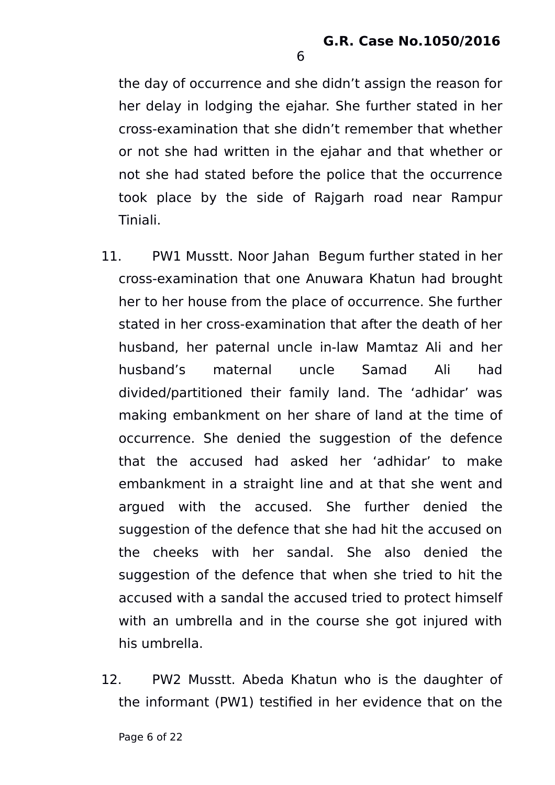the day of occurrence and she didn't assign the reason for her delay in lodging the ejahar. She further stated in her cross-examination that she didn't remember that whether or not she had written in the ejahar and that whether or not she had stated before the police that the occurrence took place by the side of Rajgarh road near Rampur Tiniali.

- 11. PW1 Musstt. Noor Jahan Begum further stated in her cross-examination that one Anuwara Khatun had brought her to her house from the place of occurrence. She further stated in her cross-examination that after the death of her husband, her paternal uncle in-law Mamtaz Ali and her husband's maternal uncle Samad Ali had divided/partitioned their family land. The 'adhidar' was making embankment on her share of land at the time of occurrence. She denied the suggestion of the defence that the accused had asked her 'adhidar' to make embankment in a straight line and at that she went and argued with the accused. She further denied the suggestion of the defence that she had hit the accused on the cheeks with her sandal. She also denied the suggestion of the defence that when she tried to hit the accused with a sandal the accused tried to protect himself with an umbrella and in the course she got injured with his umbrella.
- 12. PW2 Musstt. Abeda Khatun who is the daughter of the informant (PW1) testified in her evidence that on the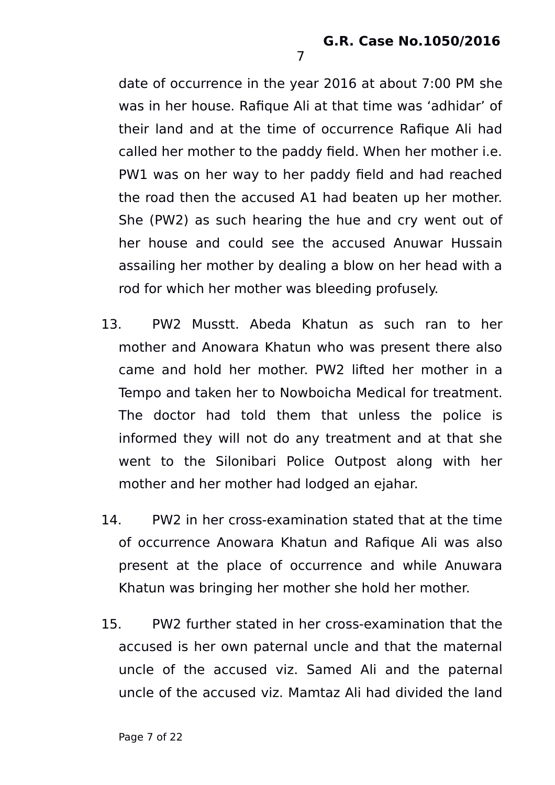date of occurrence in the year 2016 at about 7:00 PM she was in her house. Rafique Ali at that time was 'adhidar' of their land and at the time of occurrence Rafique Ali had called her mother to the paddy field. When her mother i.e. PW1 was on her way to her paddy field and had reached the road then the accused A1 had beaten up her mother. She (PW2) as such hearing the hue and cry went out of her house and could see the accused Anuwar Hussain assailing her mother by dealing a blow on her head with a rod for which her mother was bleeding profusely.

- 13. PW2 Musstt. Abeda Khatun as such ran to her mother and Anowara Khatun who was present there also came and hold her mother. PW2 lifted her mother in a Tempo and taken her to Nowboicha Medical for treatment. The doctor had told them that unless the police is informed they will not do any treatment and at that she went to the Silonibari Police Outpost along with her mother and her mother had lodged an ejahar.
- 14. PW2 in her cross-examination stated that at the time of occurrence Anowara Khatun and Rafique Ali was also present at the place of occurrence and while Anuwara Khatun was bringing her mother she hold her mother.
- 15. PW2 further stated in her cross-examination that the accused is her own paternal uncle and that the maternal uncle of the accused viz. Samed Ali and the paternal uncle of the accused viz. Mamtaz Ali had divided the land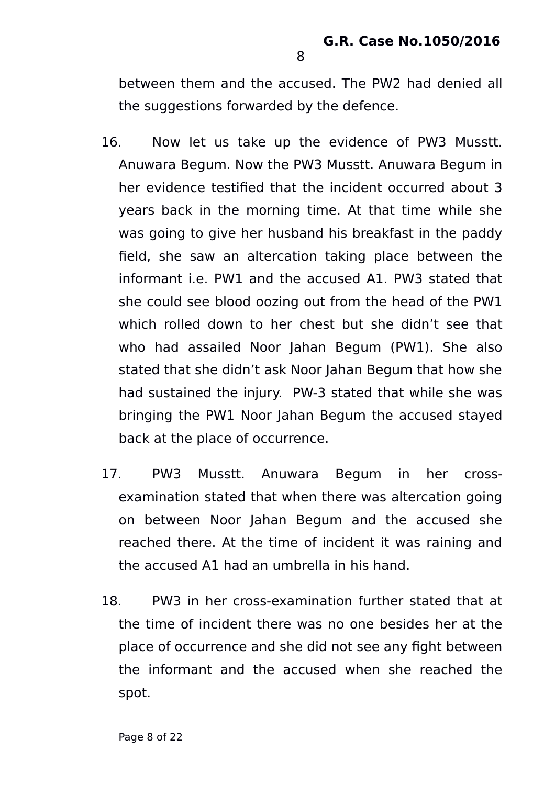between them and the accused. The PW2 had denied all the suggestions forwarded by the defence.

- 16. Now let us take up the evidence of PW3 Musstt. Anuwara Begum. Now the PW3 Musstt. Anuwara Begum in her evidence testified that the incident occurred about 3 years back in the morning time. At that time while she was going to give her husband his breakfast in the paddy field, she saw an altercation taking place between the informant i.e. PW1 and the accused A1. PW3 stated that she could see blood oozing out from the head of the PW1 which rolled down to her chest but she didn't see that who had assailed Noor Jahan Begum (PW1). She also stated that she didn't ask Noor Jahan Begum that how she had sustained the injury. PW-3 stated that while she was bringing the PW1 Noor Jahan Begum the accused stayed back at the place of occurrence.
- 17. PW3 Musstt. Anuwara Begum in her crossexamination stated that when there was altercation going on between Noor Jahan Begum and the accused she reached there. At the time of incident it was raining and the accused A1 had an umbrella in his hand.
- 18. PW3 in her cross-examination further stated that at the time of incident there was no one besides her at the place of occurrence and she did not see any fight between the informant and the accused when she reached the spot.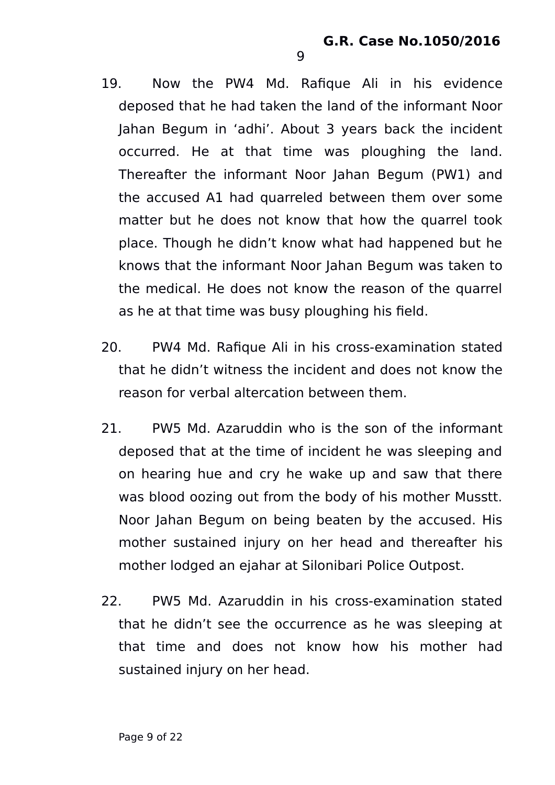- 19. Now the PW4 Md. Rafique Ali in his evidence deposed that he had taken the land of the informant Noor Jahan Begum in 'adhi'. About 3 years back the incident occurred. He at that time was ploughing the land. Thereafter the informant Noor Jahan Begum (PW1) and the accused A1 had quarreled between them over some matter but he does not know that how the quarrel took place. Though he didn't know what had happened but he knows that the informant Noor Jahan Begum was taken to the medical. He does not know the reason of the quarrel as he at that time was busy ploughing his field.
- 20. PW4 Md. Rafique Ali in his cross-examination stated that he didn't witness the incident and does not know the reason for verbal altercation between them.
- 21. PW5 Md. Azaruddin who is the son of the informant deposed that at the time of incident he was sleeping and on hearing hue and cry he wake up and saw that there was blood oozing out from the body of his mother Musstt. Noor Jahan Begum on being beaten by the accused. His mother sustained injury on her head and thereafter his mother lodged an ejahar at Silonibari Police Outpost.
- 22. PW5 Md. Azaruddin in his cross-examination stated that he didn't see the occurrence as he was sleeping at that time and does not know how his mother had sustained injury on her head.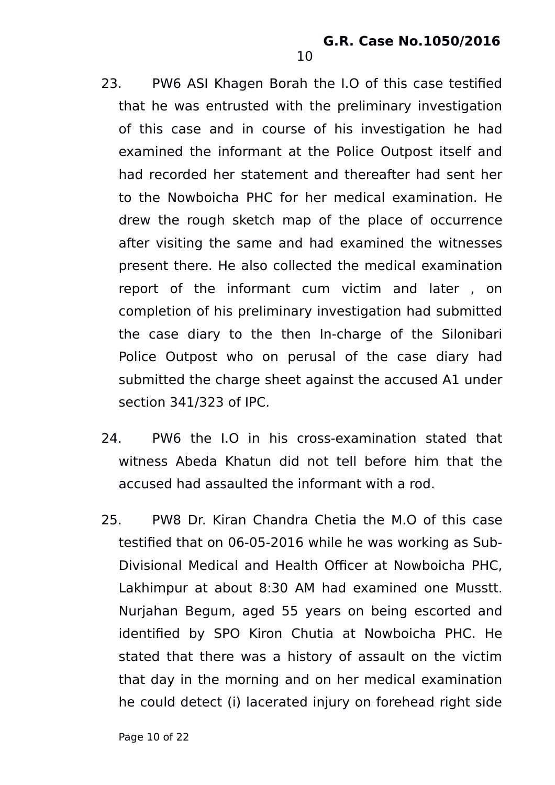23. PW6 ASI Khagen Borah the I.O of this case testified that he was entrusted with the preliminary investigation of this case and in course of his investigation he had examined the informant at the Police Outpost itself and had recorded her statement and thereafter had sent her to the Nowboicha PHC for her medical examination. He drew the rough sketch map of the place of occurrence after visiting the same and had examined the witnesses present there. He also collected the medical examination report of the informant cum victim and later , on completion of his preliminary investigation had submitted the case diary to the then In-charge of the Silonibari Police Outpost who on perusal of the case diary had submitted the charge sheet against the accused A1 under section 341/323 of IPC.

- 24. PW6 the I.O in his cross-examination stated that witness Abeda Khatun did not tell before him that the accused had assaulted the informant with a rod.
- 25. PW8 Dr. Kiran Chandra Chetia the M.O of this case testified that on 06-05-2016 while he was working as Sub-Divisional Medical and Health Officer at Nowboicha PHC, Lakhimpur at about 8:30 AM had examined one Musstt. Nurjahan Begum, aged 55 years on being escorted and identified by SPO Kiron Chutia at Nowboicha PHC. He stated that there was a history of assault on the victim that day in the morning and on her medical examination he could detect (i) lacerated injury on forehead right side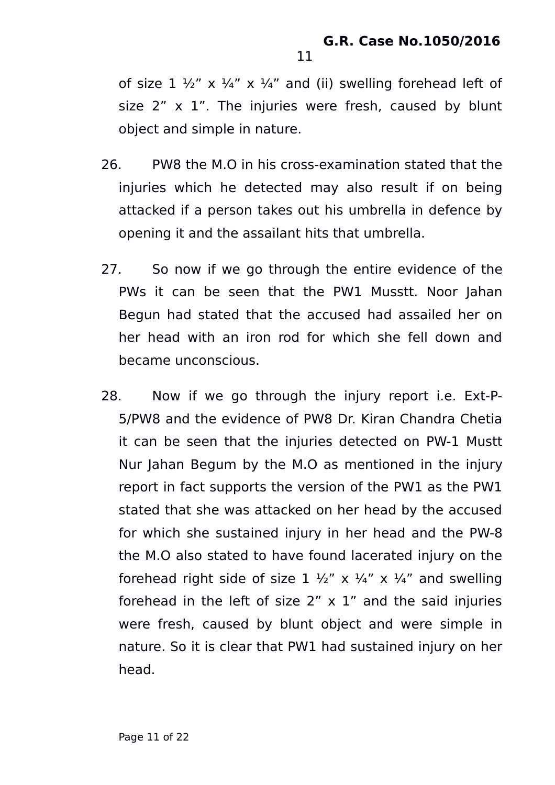of size  $1 \frac{1}{2}$ " x  $\frac{1}{4}$ " x  $\frac{1}{4}$ " and (ii) swelling forehead left of size  $2''$  x  $1''$ . The injuries were fresh, caused by blunt object and simple in nature.

- 26. PW8 the M.O in his cross-examination stated that the injuries which he detected may also result if on being attacked if a person takes out his umbrella in defence by opening it and the assailant hits that umbrella.
- 27. So now if we go through the entire evidence of the PWs it can be seen that the PW1 Musstt. Noor Jahan Begun had stated that the accused had assailed her on her head with an iron rod for which she fell down and became unconscious.
- 28. Now if we go through the injury report i.e. Ext-P-5/PW8 and the evidence of PW8 Dr. Kiran Chandra Chetia it can be seen that the injuries detected on PW-1 Mustt Nur Jahan Begum by the M.O as mentioned in the injury report in fact supports the version of the PW1 as the PW1 stated that she was attacked on her head by the accused for which she sustained injury in her head and the PW-8 the M.O also stated to have found lacerated injury on the forehead right side of size 1  $\frac{1}{2}$ " x  $\frac{1}{4}$ " x  $\frac{1}{4}$ " and swelling forehead in the left of size  $2'' \times 1''$  and the said injuries were fresh, caused by blunt object and were simple in nature. So it is clear that PW1 had sustained injury on her head.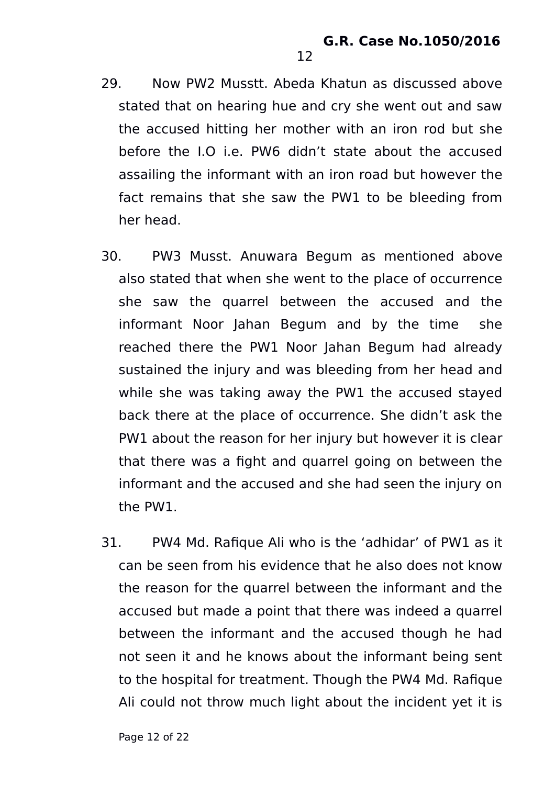29. Now PW2 Musstt. Abeda Khatun as discussed above stated that on hearing hue and cry she went out and saw the accused hitting her mother with an iron rod but she before the I.O i.e. PW6 didn't state about the accused assailing the informant with an iron road but however the fact remains that she saw the PW1 to be bleeding from her head.

- 30. PW3 Musst. Anuwara Begum as mentioned above also stated that when she went to the place of occurrence she saw the quarrel between the accused and the informant Noor Jahan Begum and by the time she reached there the PW1 Noor Jahan Begum had already sustained the injury and was bleeding from her head and while she was taking away the PW1 the accused stayed back there at the place of occurrence. She didn't ask the PW1 about the reason for her injury but however it is clear that there was a fight and quarrel going on between the informant and the accused and she had seen the injury on the PW1.
- 31. PW4 Md. Rafique Ali who is the 'adhidar' of PW1 as it can be seen from his evidence that he also does not know the reason for the quarrel between the informant and the accused but made a point that there was indeed a quarrel between the informant and the accused though he had not seen it and he knows about the informant being sent to the hospital for treatment. Though the PW4 Md. Rafique Ali could not throw much light about the incident yet it is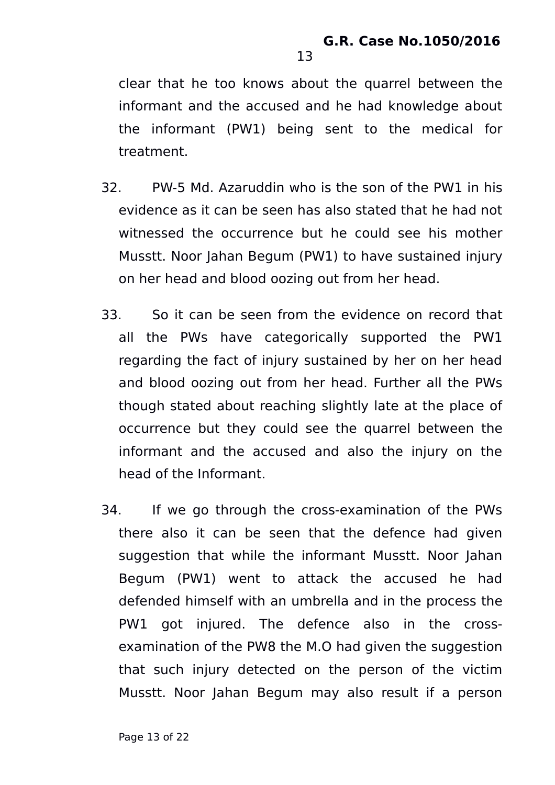clear that he too knows about the quarrel between the informant and the accused and he had knowledge about the informant (PW1) being sent to the medical for treatment.

- 32. PW-5 Md. Azaruddin who is the son of the PW1 in his evidence as it can be seen has also stated that he had not witnessed the occurrence but he could see his mother Musstt. Noor Jahan Begum (PW1) to have sustained injury on her head and blood oozing out from her head.
- 33. So it can be seen from the evidence on record that all the PWs have categorically supported the PW1 regarding the fact of injury sustained by her on her head and blood oozing out from her head. Further all the PWs though stated about reaching slightly late at the place of occurrence but they could see the quarrel between the informant and the accused and also the injury on the head of the Informant.
- 34. If we go through the cross-examination of the PWs there also it can be seen that the defence had given suggestion that while the informant Musstt. Noor Jahan Begum (PW1) went to attack the accused he had defended himself with an umbrella and in the process the PW1 got injured. The defence also in the crossexamination of the PW8 the M.O had given the suggestion that such injury detected on the person of the victim Musstt. Noor Jahan Begum may also result if a person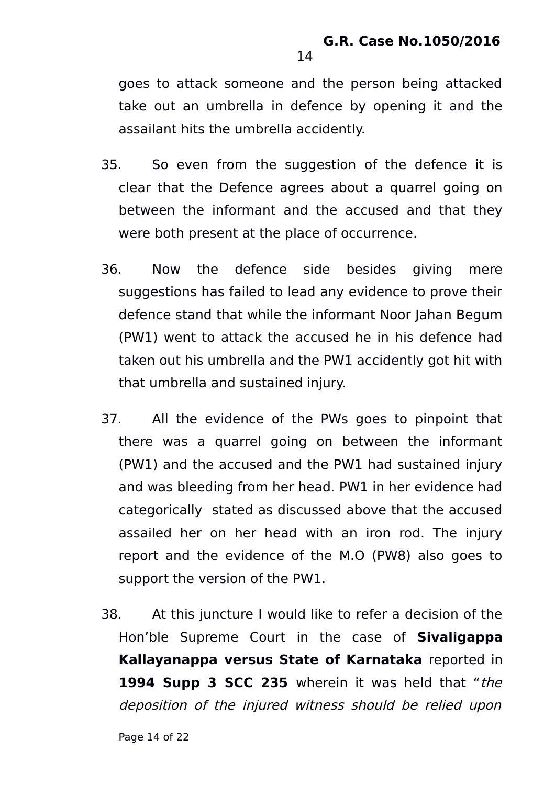goes to attack someone and the person being attacked take out an umbrella in defence by opening it and the assailant hits the umbrella accidently.

- 35. So even from the suggestion of the defence it is clear that the Defence agrees about a quarrel going on between the informant and the accused and that they were both present at the place of occurrence.
- 36. Now the defence side besides giving mere suggestions has failed to lead any evidence to prove their defence stand that while the informant Noor Jahan Begum (PW1) went to attack the accused he in his defence had taken out his umbrella and the PW1 accidently got hit with that umbrella and sustained injury.
- 37. All the evidence of the PWs goes to pinpoint that there was a quarrel going on between the informant (PW1) and the accused and the PW1 had sustained injury and was bleeding from her head. PW1 in her evidence had categorically stated as discussed above that the accused assailed her on her head with an iron rod. The injury report and the evidence of the M.O (PW8) also goes to support the version of the PW1.
- 38. At this juncture I would like to refer a decision of the Hon'ble Supreme Court in the case of **Sivaligappa Kallayanappa versus State of Karnataka** reported in **1994 Supp 3 SCC 235** wherein it was held that "the deposition of the injured witness should be relied upon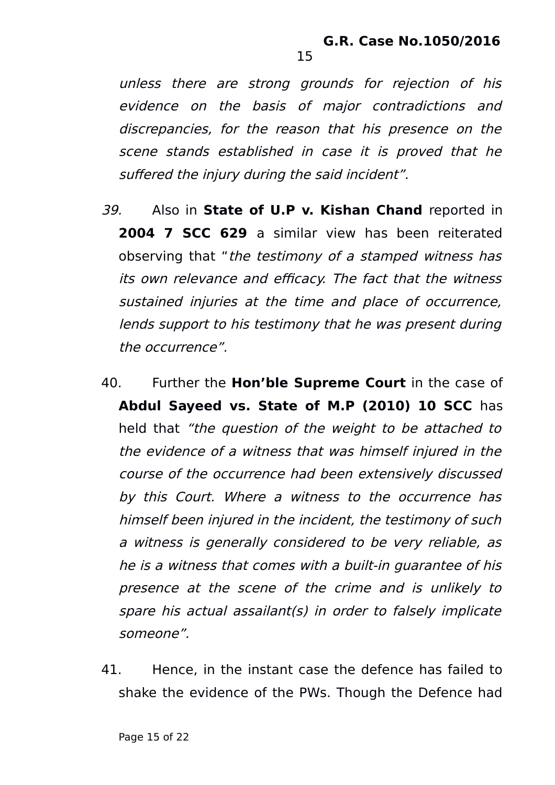unless there are strong grounds for rejection of his evidence on the basis of major contradictions and discrepancies, for the reason that his presence on the scene stands established in case it is proved that he suffered the injury during the said incident".

- 39. Also in **State of U.P v. Kishan Chand** reported in **2004 7 SCC 629** a similar view has been reiterated observing that "the testimony of a stamped witness has its own relevance and efficacy. The fact that the witness sustained injuries at the time and place of occurrence, lends support to his testimony that he was present during the occurrence".
- 40. Further the **Hon'ble Supreme Court** in the case of **Abdul Sayeed vs. State of M.P (2010) 10 SCC** has held that "the question of the weight to be attached to the evidence of a witness that was himself injured in the course of the occurrence had been extensively discussed by this Court. Where a witness to the occurrence has himself been injured in the incident, the testimony of such a witness is generally considered to be very reliable, as he is a witness that comes with a built-in guarantee of his presence at the scene of the crime and is unlikely to spare his actual assailant(s) in order to falsely implicate someone".
- 41. Hence, in the instant case the defence has failed to shake the evidence of the PWs. Though the Defence had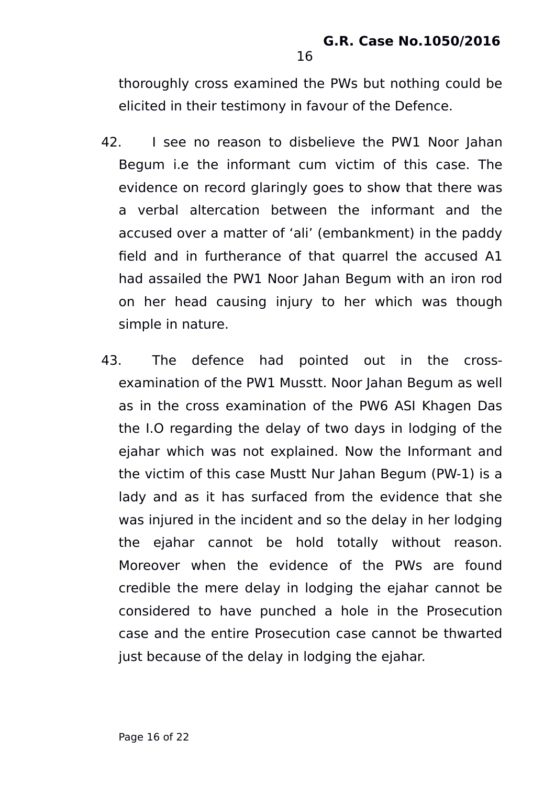thoroughly cross examined the PWs but nothing could be elicited in their testimony in favour of the Defence.

- 42. I see no reason to disbelieve the PW1 Noor Jahan Begum i.e the informant cum victim of this case. The evidence on record glaringly goes to show that there was a verbal altercation between the informant and the accused over a matter of 'ali' (embankment) in the paddy field and in furtherance of that quarrel the accused A1 had assailed the PW1 Noor Jahan Begum with an iron rod on her head causing injury to her which was though simple in nature.
- 43. The defence had pointed out in the crossexamination of the PW1 Musstt. Noor Jahan Begum as well as in the cross examination of the PW6 ASI Khagen Das the I.O regarding the delay of two days in lodging of the ejahar which was not explained. Now the Informant and the victim of this case Mustt Nur Jahan Begum (PW-1) is a lady and as it has surfaced from the evidence that she was injured in the incident and so the delay in her lodging the ejahar cannot be hold totally without reason. Moreover when the evidence of the PWs are found credible the mere delay in lodging the ejahar cannot be considered to have punched a hole in the Prosecution case and the entire Prosecution case cannot be thwarted just because of the delay in lodging the ejahar.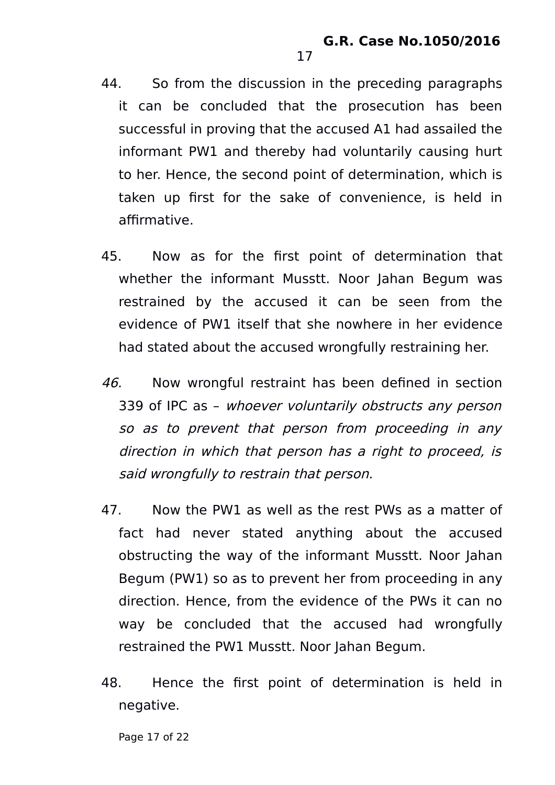44. So from the discussion in the preceding paragraphs it can be concluded that the prosecution has been successful in proving that the accused A1 had assailed the informant PW1 and thereby had voluntarily causing hurt to her. Hence, the second point of determination, which is taken up first for the sake of convenience, is held in affirmative.

17

- 45. Now as for the first point of determination that whether the informant Musstt. Noor Jahan Begum was restrained by the accused it can be seen from the evidence of PW1 itself that she nowhere in her evidence had stated about the accused wrongfully restraining her.
- 46. Now wrongful restraint has been defined in section 339 of IPC as – whoever voluntarily obstructs any person so as to prevent that person from proceeding in any direction in which that person has a right to proceed, is said wrongfully to restrain that person.
- 47. Now the PW1 as well as the rest PWs as a matter of fact had never stated anything about the accused obstructing the way of the informant Musstt. Noor Jahan Begum (PW1) so as to prevent her from proceeding in any direction. Hence, from the evidence of the PWs it can no way be concluded that the accused had wrongfully restrained the PW1 Musstt. Noor Jahan Begum.
- 48. Hence the first point of determination is held in negative.

Page 17 of 22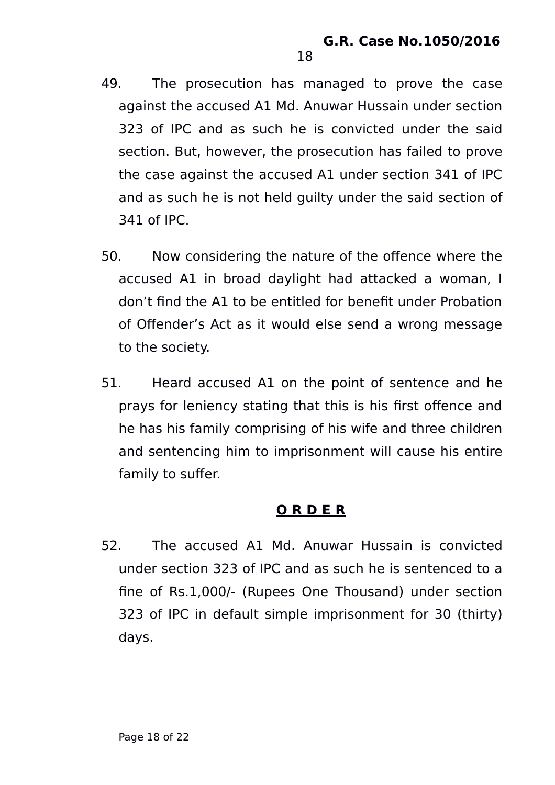49. The prosecution has managed to prove the case against the accused A1 Md. Anuwar Hussain under section 323 of IPC and as such he is convicted under the said section. But, however, the prosecution has failed to prove the case against the accused A1 under section 341 of IPC and as such he is not held guilty under the said section of 341 of IPC.

18

- 50. Now considering the nature of the offence where the accused A1 in broad daylight had attacked a woman, I don't find the A1 to be entitled for benefit under Probation of Offender's Act as it would else send a wrong message to the society.
- 51. Heard accused A1 on the point of sentence and he prays for leniency stating that this is his first offence and he has his family comprising of his wife and three children and sentencing him to imprisonment will cause his entire family to suffer.

### **O R D E R**

52. The accused A1 Md. Anuwar Hussain is convicted under section 323 of IPC and as such he is sentenced to a fine of Rs.1,000/- (Rupees One Thousand) under section 323 of IPC in default simple imprisonment for 30 (thirty) days.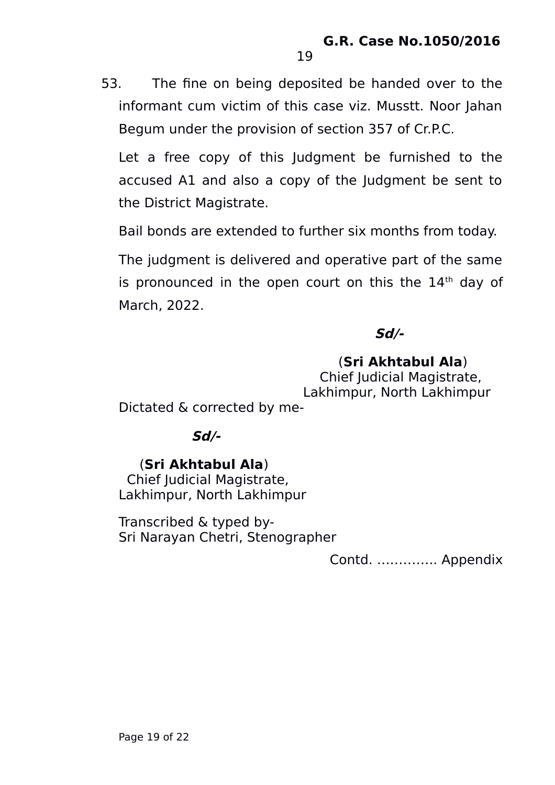53. The fine on being deposited be handed over to the informant cum victim of this case viz. Musstt. Noor Jahan Begum under the provision of section 357 of Cr.P.C.

19

Let a free copy of this Judgment be furnished to the accused A1 and also a copy of the Judgment be sent to the District Magistrate.

Bail bonds are extended to further six months from today.

The judgment is delivered and operative part of the same is pronounced in the open court on this the  $14<sup>th</sup>$  day of March, 2022.

## **Sd/-**

### (**Sri Akhtabul Ala**)

 Chief Judicial Magistrate, Lakhimpur, North Lakhimpur

Dictated & corrected by me-

### **Sd/-**

### (**Sri Akhtabul Ala**)

 Chief Judicial Magistrate, Lakhimpur, North Lakhimpur

Transcribed & typed by-Sri Narayan Chetri, Stenographer

Contd. ………….. Appendix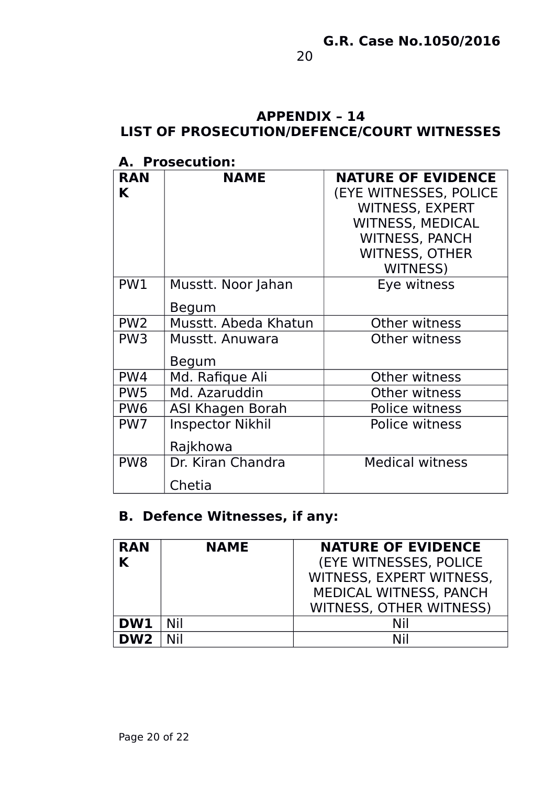#### **APPENDIX – 14 LIST OF PROSECUTION/DEFENCE/COURT WITNESSES**

### **A. Prosecution:**

| <b>RAN</b>      | <b>NAME</b>             | <b>NATURE OF EVIDENCE</b> |
|-----------------|-------------------------|---------------------------|
| K               |                         | (EYE WITNESSES, POLICE    |
|                 |                         | <b>WITNESS, EXPERT</b>    |
|                 |                         | <b>WITNESS, MEDICAL</b>   |
|                 |                         | <b>WITNESS, PANCH</b>     |
|                 |                         | <b>WITNESS, OTHER</b>     |
|                 |                         | <b>WITNESS)</b>           |
| PW1             | Musstt. Noor Jahan      | Eye witness               |
|                 | Begum                   |                           |
| PW <sub>2</sub> | Musstt. Abeda Khatun    | Other witness             |
| PW <sub>3</sub> | Musstt. Anuwara         | Other witness             |
|                 | Begum                   |                           |
| PW4             | Md. Rafique Ali         | Other witness             |
| PW <sub>5</sub> | Md. Azaruddin           | Other witness             |
| PW <sub>6</sub> | ASI Khagen Borah        | <b>Police witness</b>     |
| PW7             | <b>Inspector Nikhil</b> | Police witness            |
|                 | Rajkhowa                |                           |
| PW <sub>8</sub> | Dr. Kiran Chandra       | <b>Medical witness</b>    |
|                 | Chetia                  |                           |

# **B. Defence Witnesses, if any:**

| <b>RAN</b><br>K | <b>NAME</b> | <b>NATURE OF EVIDENCE</b><br><b>(EYE WITNESSES, POLICE)</b><br>WITNESS, EXPERT WITNESS,<br>MEDICAL WITNESS, PANCH |
|-----------------|-------------|-------------------------------------------------------------------------------------------------------------------|
|                 |             | <b>WITNESS, OTHER WITNESS)</b>                                                                                    |
| DW1             | Nil         | Nil                                                                                                               |
| DW <sub>2</sub> |             | Nil                                                                                                               |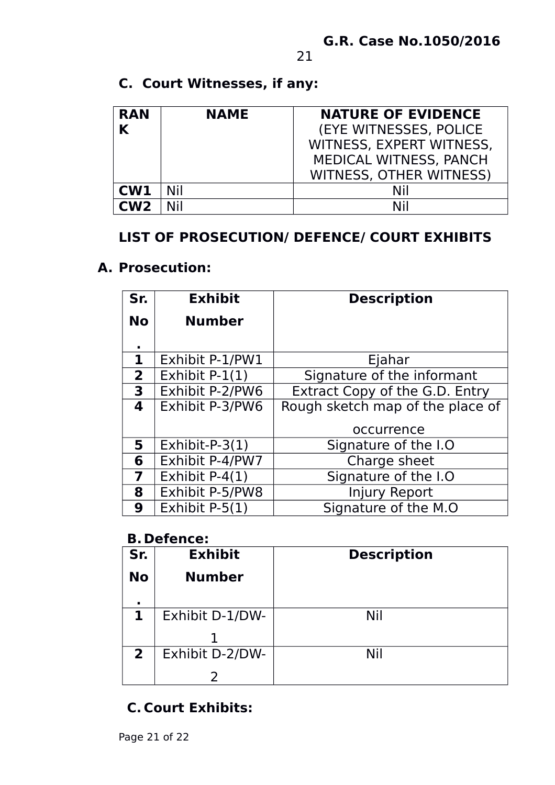# **C. Court Witnesses, if any:**

| <b>RAN</b> | <b>NAME</b> | <b>NATURE OF EVIDENCE</b>      |
|------------|-------------|--------------------------------|
|            |             | <b>(EYE WITNESSES, POLICE)</b> |
|            |             | WITNESS, EXPERT WITNESS,       |
|            |             | MEDICAL WITNESS, PANCH         |
|            |             | <b>WITNESS, OTHER WITNESS)</b> |
| CW1        | Nil         | Nil                            |
| CW2        | Nil         | Nil                            |

## **LIST OF PROSECUTION/ DEFENCE/ COURT EXHIBITS**

### **A. Prosecution:**

| Sr.                     | <b>Exhibit</b>    | <b>Description</b>                    |
|-------------------------|-------------------|---------------------------------------|
| <b>No</b>               | <b>Number</b>     |                                       |
| $\blacksquare$          |                   |                                       |
| $\mathbf 1$             | Exhibit P-1/PW1   | Ejahar                                |
| $\overline{2}$          | Exhibit $P-1(1)$  | Signature of the informant            |
| 3                       | Exhibit P-2/PW6   | <b>Extract Copy of the G.D. Entry</b> |
| 4                       | Exhibit P-3/PW6   | Rough sketch map of the place of      |
|                         |                   | occurrence                            |
| 5                       | Exhibit-P- $3(1)$ | Signature of the I.O                  |
| 6                       | Exhibit P-4/PW7   | Charge sheet                          |
| $\overline{\mathbf{z}}$ | Exhibit $P-4(1)$  | Signature of the I.O                  |
| 8                       | Exhibit P-5/PW8   | <b>Injury Report</b>                  |
| 9                       | Exhibit $P-5(1)$  | Signature of the M.O                  |

### **B. Defence:**

| Sr.            | <b>Exhibit</b>  | <b>Description</b> |
|----------------|-----------------|--------------------|
| <b>No</b>      | <b>Number</b>   |                    |
|                |                 |                    |
| 1              | Exhibit D-1/DW- | Nil                |
|                |                 |                    |
| $\overline{2}$ | Exhibit D-2/DW- | Nil                |
|                |                 |                    |

# **C. Court Exhibits:**